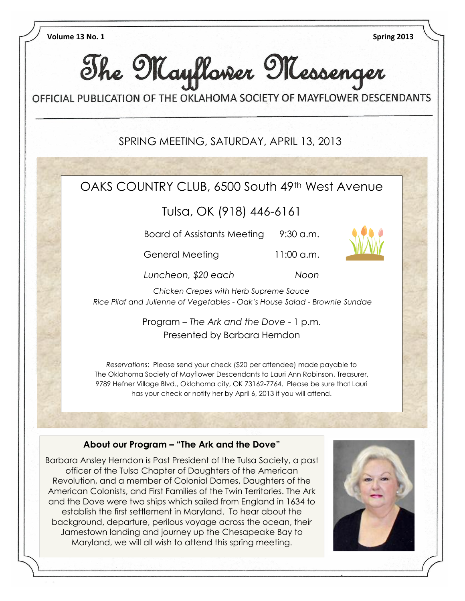

establish the first settlement in Maryland. To hear about the background, departure, perilous voyage across the ocean, their Jamestown landing and journey up the Chesapeake Bay to Maryland, we will all wish to attend this spring meeting.

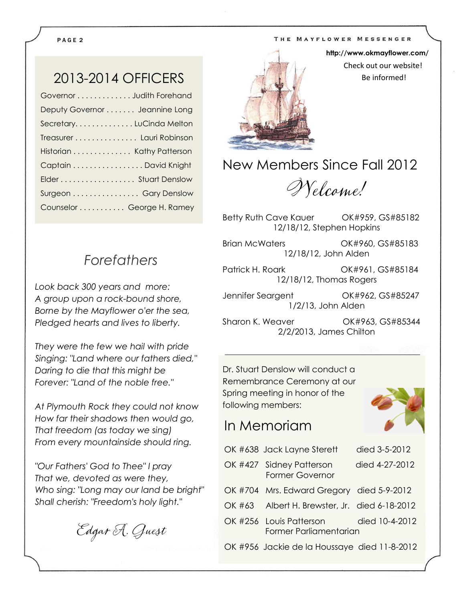#### THE MAYFLOWER MESSENGER

#### P A G E 2

## 2013-2014 OFFICERS

| Governor Judith Forehand       |
|--------------------------------|
| Deputy Governor  Jeannine Long |
| SecretaryLuCinda Melton        |
| Treasurer Lauri Robinson       |
| Historian Kathy Patterson      |
| Captain David Knight           |
| Elder Stuart Denslow           |
| Surgeon Gary Denslow           |
| Counselor George H. Ramey      |
|                                |

### *Forefathers*

*Look back 300 years and more: A group upon a rock-bound shore, Borne by the Mayflower o'er the sea, Pledged hearts and lives to liberty.*

*They were the few we hail with pride Singing: "Land where our fathers died," Daring to die that this might be Forever: "Land of the noble free."*

*At Plymouth Rock they could not know How far their shadows then would go, That freedom (as today we sing) From every mountainside should ring.*

*"Our Fathers' God to Thee" I pray That we, devoted as were they, Who sing: "Long may our land be bright" Shall cherish: "Freedom's holy light."*

Edgar A. Guest



**http://www.okmayflower.com/** Check out our website! Be informed!

New Members Since Fall 2012

Welcome!

Betty Ruth Cave Kauer **OK#959, GS#85182** 12/18/12, Stephen Hopkins

Brian McWaters OK#960, GS#85183 12/18/12, John Alden

Patrick H. Roark OK#961, GS#85184 12/18/12, Thomas Rogers

Jennifer Seargent OK#962, GS#85247 1/2/13, John Alden

Sharon K. Weaver OK#963, GS#85344 2/2/2013, James Chilton

Dr. Stuart Denslow will conduct a Remembrance Ceremony at our Spring meeting in honor of the following members:

### In Memoriam



| OK #638 Jack Layne Sterett                                       | died 3-5-2012  |
|------------------------------------------------------------------|----------------|
| OK #427 Sidney Patterson<br><b>Former Governor</b>               | died 4-27-2012 |
| OK #704 Mrs. Edward Gregory died 5-9-2012                        |                |
| OK #63 Albert H. Brewster, Jr. died 6-18-2012                    |                |
| OK #256 Louis Patterson died 10-4-2012<br>Former Parliamentarian |                |
| OK #956 Jackie de la Houssaye died 11-8-2012                     |                |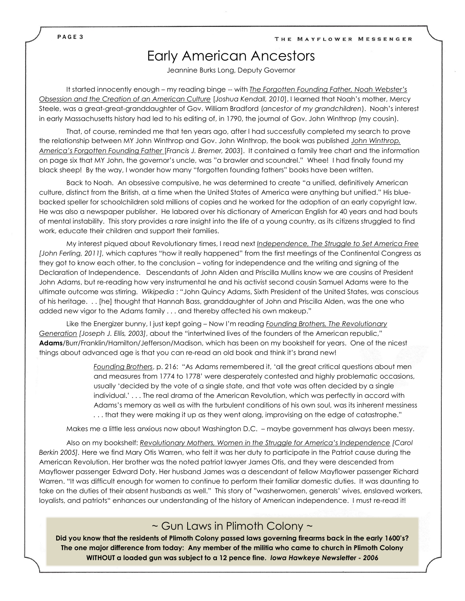## Early American Ancestors

Jeannine Burks Long, Deputy Governor

It started innocently enough – my reading binge -- with *The Forgotten Founding Father, Noah Webster's Obsession and the Creation of an American Culture* [*Joshua Kendall, 2010*]. I learned that Noah's mother, Mercy Steele, was a great-great-granddaughter of Gov. William Bradford (*ancestor of my grandchildren*). Noah's interest in early Massachusetts history had led to his editing of, in 1790, the journal of Gov. John Winthrop (my cousin).

That, of course, reminded me that ten years ago, after I had successfully completed my search to prove the relationship between MY John Winthrop and Gov. John Winthrop, the book was published *John Winthrop, America's Forgotten Founding Father* [*Francis J. Bremer, 2003*]. It contained a family tree chart and the information on page six that MY John, the governor's uncle, was "a brawler and scoundrel." Whee! I had finally found my black sheep! By the way, I wonder how many "forgotten founding fathers" books have been written.

Back to Noah. An obsessive compulsive, he was determined to create "a unified, definitively American culture, distinct from the British, at a time when the United States of America were anything but unified." His bluebacked speller for schoolchildren sold millions of copies and he worked for the adoption of an early copyright law. He was also a newspaper publisher. He labored over his dictionary of American English for 40 years and had bouts of mental instability. This story provides a rare insight into the life of a young country, as its citizens struggled to find work, educate their children and support their families.

My interest piqued about Revolutionary times, I read next *Independence, The Struggle to Set America Free [John Ferling, 2011],* which captures "how it really happened" from the first meetings of the Continental Congress as they got to know each other, to the conclusion – voting for independence and the writing and signing of the Declaration of Independence. Descendants of John Alden and Priscilla Mullins know we are cousins of President John Adams, but re-reading how very instrumental he and his activist second cousin Samuel Adams were to the ultimate outcome was stirring. *Wikipedia* : "John Quincy Adams, Sixth President of the United States, was conscious of his heritage. . . [he] thought that Hannah Bass, granddaughter of John and Priscilla Alden, was the one who added new vigor to the Adams family . . . and thereby affected his own makeup."

Like the Energizer bunny, I just kept going – Now I'm reading *Founding Brothers, The Revolutionary Generation [Joseph J. Ellis, 2003]*, about the "intertwined lives of the founders of the American republic," **Adams**/Burr/Franklin/Hamilton/Jefferson/Madison, which has been on my bookshelf for years. One of the nicest things about advanced age is that you can re-read an old book and think it's brand new!

> *Founding Brothers*, p. 216: "As Adams remembered it, 'all the great critical questions about men and measures from 1774 to 1778' were desperately contested and highly problematic occasions, usually 'decided by the vote of a single state, and that vote was often decided by a single individual.' . . . The real drama of the American Revolution, which was perfectly in accord with Adams's memory as well as with the turbulent conditions of his own soul, was its inherent messiness *.* . . that they were making it up as they went along, improvising on the edge of catastrophe."

Makes me a little less anxious now about Washington D.C. – maybe government has always been messy.

Also on my bookshelf: *Revolutionary Mothers, Women in the Struggle for America's Independence [Carol Berkin 2005].* Here we find Mary Otis Warren, who felt it was her duty to participate in the Patriot cause during the American Revolution. Her brother was the noted patriot lawyer James Otis, and they were descended from Mayflower passenger Edward Doty. Her husband James was a descendant of fellow Mayflower passenger Richard Warren. "It was difficult enough for women to continue to perform their familiar domestic duties. It was daunting to take on the duties of their absent husbands as well." This story of "washerwomen, generals' wives, enslaved workers, loyalists, and patriots" enhances our understanding of the history of American independence. I must re-read it!

#### ~ Gun Laws in Plimoth Colony ~

**Did you know that the residents of Plimoth Colony passed laws governing firearms back in the early 1600's? The one major difference from today: Any member of the militia who came to church in Plimoth Colony WITHOUT a loaded gun was subject to a 12 pence fine.** *Iowa Hawkeye Newsletter - 2006*

P A G E 3